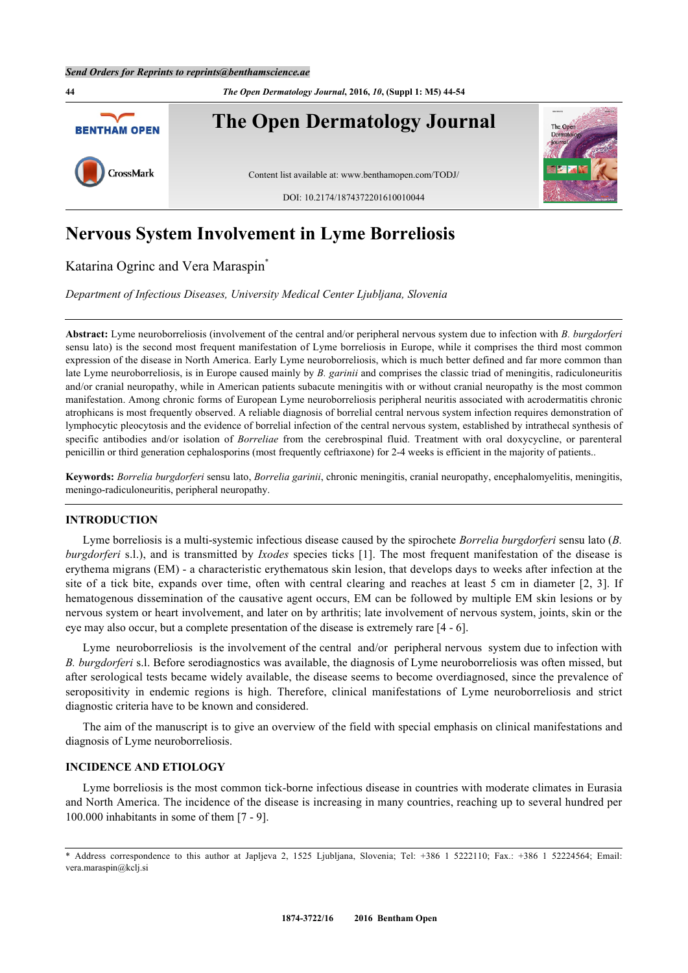

# **Nervous System Involvement in Lyme Borreliosis**

Katarina Ogrinc and Vera Maraspin<sup>[\\*](#page-0-0)</sup>

*Department of Infectious Diseases, University Medical Center Ljubljana, Slovenia*

**Abstract:** Lyme neuroborreliosis (involvement of the central and/or peripheral nervous system due to infection with *B. burgdorferi* sensu lato) is the second most frequent manifestation of Lyme borreliosis in Europe, while it comprises the third most common expression of the disease in North America. Early Lyme neuroborreliosis, which is much better defined and far more common than late Lyme neuroborreliosis, is in Europe caused mainly by *B. garinii* and comprises the classic triad of meningitis, radiculoneuritis and/or cranial neuropathy, while in American patients subacute meningitis with or without cranial neuropathy is the most common manifestation. Among chronic forms of European Lyme neuroborreliosis peripheral neuritis associated with acrodermatitis chronic atrophicans is most frequently observed. A reliable diagnosis of borrelial central nervous system infection requires demonstration of lymphocytic pleocytosis and the evidence of borrelial infection of the central nervous system, established by intrathecal synthesis of specific antibodies and/or isolation of *Borreliae* from the cerebrospinal fluid. Treatment with oral doxycycline, or parenteral penicillin or third generation cephalosporins (most frequently ceftriaxone) for 2-4 weeks is efficient in the majority of patients..

**Keywords:** *Borrelia burgdorferi* sensu lato, *Borrelia garinii*, chronic meningitis, cranial neuropathy, encephalomyelitis, meningitis, meningo-radiculoneuritis, peripheral neuropathy.

#### **INTRODUCTION**

Lyme borreliosis is a multi-systemic infectious disease caused by the spirochete *Borrelia burgdorferi* sensu lato (*B. burgdorferi* s.l.), and is transmitted by *Ixodes* species ticks [[1](#page-5-0)]. The most frequent manifestation of the disease is erythema migrans (EM) - a characteristic erythematous skin lesion, that develops days to weeks after infection at the site of a tick bite, expands over time, often with central clearing and reaches at least 5 cm in diameter[[2](#page-5-1), [3\]](#page-5-2). If hematogenous dissemination of the causative agent occurs, EM can be followed by multiple EM skin lesions or by nervous system or heart involvement, and later on by arthritis; late involvement of nervous system, joints, skin or the eye may also occur, but a complete presentation of the disease is extremely rare [\[4](#page-5-3) - [6\]](#page-5-4).

Lyme neuroborreliosis is the involvement of the central and/or peripheral nervous system due to infection with *B. burgdorferi* s.l. Before serodiagnostics was available, the diagnosis of Lyme neuroborreliosis was often missed, but after serological tests became widely available, the disease seems to become overdiagnosed, since the prevalence of seropositivity in endemic regions is high. Therefore, clinical manifestations of Lyme neuroborreliosis and strict diagnostic criteria have to be known and considered.

The aim of the manuscript is to give an overview of the field with special emphasis on clinical manifestations and diagnosis of Lyme neuroborreliosis.

# **INCIDENCE AND ETIOLOGY**

Lyme borreliosis is the most common tick-borne infectious disease in countries with moderate climates in Eurasia and North America. The incidence of the disease is increasing in many countries, reaching up to several hundred per 100.000 inhabitants in some of them [[7](#page-5-5) - [9\]](#page-5-6).

<span id="page-0-0"></span><sup>\*</sup> Address correspondence to this author at Japljeva 2, 1525 Ljubljana, Slovenia; Tel: +386 1 5222110; Fax.: +386 1 52224564; Email: [vera.maraspin@kclj.si](mailto:vera.maraspin@kclj.si)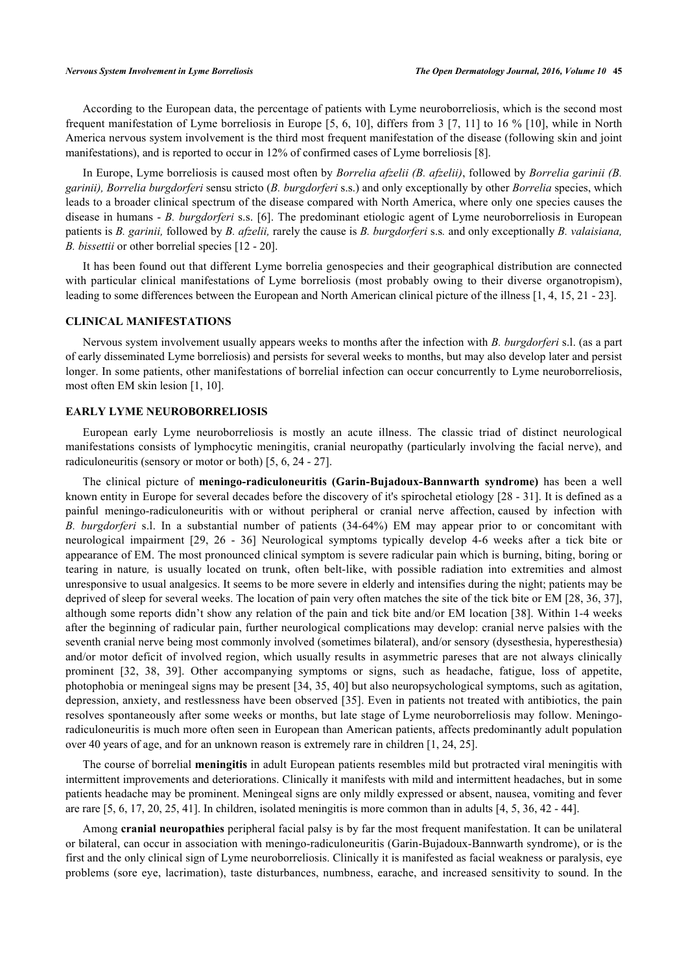According to the European data, the percentage of patients with Lyme neuroborreliosis, which is the second most frequent manifestation of Lyme borreliosis in Europe [\[5](#page-5-7), [6](#page-5-4), [10](#page-5-8)], differs from 3 [\[7](#page-5-5), [11](#page-5-9)] to 16 % [\[10\]](#page-5-8), while in North America nervous system involvement is the third most frequent manifestation of the disease (following skin and joint manifestations), and is reported to occur in 12% of confirmed cases of Lyme borreliosis [\[8](#page-5-10)].

In Europe, Lyme borreliosis is caused most often by *Borrelia afzelii (B. afzelii)*, followed by *Borrelia garinii (B. garinii), Borrelia burgdorferi* sensu stricto (*B. burgdorferi* s.s.) and only exceptionally by other *Borrelia* species, which leads to a broader clinical spectrum of the disease compared with North America, where only one species causes the disease in humans - *B. burgdorferi* s.s. [[6](#page-5-4)]. The predominant etiologic agent of Lyme neuroborreliosis in European patients is *B. garinii,* followed by *B. afzelii,* rarely the cause is *B. burgdorferi* s.s*.* and only exceptionally *B. valaisiana, B. bissettii* or other borrelial species [\[12](#page-5-11) - [20\]](#page-6-0).

It has been found out that different Lyme borrelia genospecies and their geographical distribution are connected with particular clinical manifestations of Lyme borreliosis (most probably owing to their diverse organotropism), leading to some differences between the European and North American clinical picture of the illness [[1,](#page-5-0) [4,](#page-5-3) [15,](#page-5-12) [21](#page-6-1) - [23\]](#page-6-2).

### **CLINICAL MANIFESTATIONS**

Nervous system involvement usually appears weeks to months after the infection with *B. burgdorferi* s.l. (as a part of early disseminated Lyme borreliosis) and persists for several weeks to months, but may also develop later and persist longer. In some patients, other manifestations of borrelial infection can occur concurrently to Lyme neuroborreliosis, most often EM skin lesion [\[1](#page-5-0), [10](#page-5-8)].

### **EARLY LYME NEUROBORRELIOSIS**

European early Lyme neuroborreliosis is mostly an acute illness. The classic triad of distinct neurological manifestations consists of lymphocytic meningitis, cranial neuropathy (particularly involving the facial nerve), and radiculoneuritis (sensory or motor or both) [\[5](#page-5-7), [6](#page-5-4), [24](#page-6-3) - [27\]](#page-6-4).

The clinical picture of **meningo-radiculoneuritis (Garin-Bujadoux-Bannwarth syndrome)** has been a well known entity in Europe for several decades before the discovery of it's spirochetal etiology [[28](#page-6-5) - [31\]](#page-6-6). It is defined as a painful meningo-radiculoneuritis with or without peripheral or cranial nerve affection, caused by infection with *B. burgdorferi* s.l. In a substantial number of patients (34-64%) EM may appear prior to or concomitant with neurological impairment[[29,](#page-6-7) [26](#page-6-8) - [36](#page-6-9)] Neurological symptoms typically develop 4-6 weeks after a tick bite or appearance of EM. The most pronounced clinical symptom is severe radicular pain which is burning, biting, boring or tearing in nature*,* is usually located on trunk, often belt-like, with possible radiation into extremities and almost unresponsive to usual analgesics. It seems to be more severe in elderly and intensifies during the night; patients may be deprived of sleep for several weeks. The location of pain very often matches the site of the tick bite or EM [\[28](#page-6-5), [36,](#page-6-9) [37\]](#page-6-10), although some reports didn't show any relation of the pain and tick bite and/or EM location [[38\]](#page-6-11). Within 1-4 weeks after the beginning of radicular pain, further neurological complications may develop: cranial nerve palsies with the seventh cranial nerve being most commonly involved (sometimes bilateral), and/or sensory (dysesthesia, hyperesthesia) and/or motor deficit of involved region, which usually results in asymmetric pareses that are not always clinically prominent [\[32,](#page-6-12) [38,](#page-6-11) [39\]](#page-6-13). Other accompanying symptoms or signs, such as headache, fatigue, loss of appetite, photophobia or meningeal signs may be present [\[34,](#page-6-14) [35,](#page-6-15) [40](#page-7-0)] but also neuropsychological symptoms, such as agitation, depression, anxiety, and restlessness have been observed [[35](#page-6-15)]. Even in patients not treated with antibiotics, the pain resolves spontaneously after some weeks or months, but late stage of Lyme neuroborreliosis may follow. Meningoradiculoneuritis is much more often seen in European than American patients, affects predominantly adult population over 40 years of age, and for an unknown reason is extremely rare in children [[1,](#page-5-0) [24,](#page-6-3) [25\]](#page-6-16).

The course of borrelial **meningitis** in adult European patients resembles mild but protracted viral meningitis with intermittent improvements and deteriorations. Clinically it manifests with mild and intermittent headaches, but in some patients headache may be prominent. Meningeal signs are only mildly expressed or absent, nausea, vomiting and fever are rare [[5,](#page-5-7) [6,](#page-5-4) [17,](#page-5-13) [20,](#page-6-0) [25,](#page-6-16) [41\]](#page-7-1). In children, isolated meningitis is more common than in adults [\[4](#page-5-3), [5](#page-5-7), [36](#page-6-9), [42](#page-7-2) - [44\]](#page-7-3).

Among **cranial neuropathies** peripheral facial palsy is by far the most frequent manifestation. It can be unilateral or bilateral, can occur in association with meningo-radiculoneuritis (Garin-Bujadoux-Bannwarth syndrome), or is the first and the only clinical sign of Lyme neuroborreliosis. Clinically it is manifested as facial weakness or paralysis, eye problems (sore eye, lacrimation), taste disturbances, numbness, earache, and increased sensitivity to sound. In the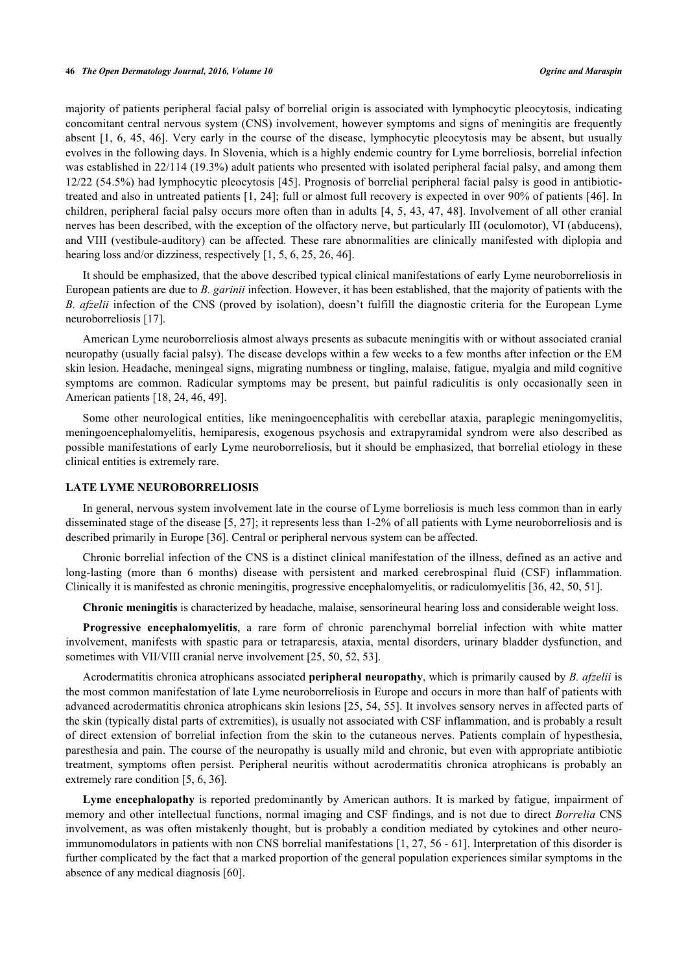majority of patients peripheral facial palsy of borrelial origin is associated with lymphocytic pleocytosis, indicating concomitant central nervous system (CNS) involvement, however symptoms and signs of meningitis are frequently absent [[1](#page-5-0), [6,](#page-5-4) [45](#page-7-4), [46\]](#page-7-5). Very early in the course of the disease, lymphocytic pleocytosis may be absent, but usually evolves in the following days. In Slovenia, which is a highly endemic country for Lyme borreliosis, borrelial infection was established in 22/114 (19.3%) adult patients who presented with isolated peripheral facial palsy, and among them 12/22 (54.5%) had lymphocytic pleocytosis [\[45](#page-7-4)]. Prognosis of borrelial peripheral facial palsy is good in antibiotictreated and also in untreated patients [[1,](#page-5-0) [24](#page-6-3)]; full or almost full recovery is expected in over 90% of patients [[46](#page-7-5)]. In children, peripheral facial palsy occurs more often than in adults [[4](#page-5-3), [5](#page-5-7), [43](#page-7-6), [47](#page-7-7), [48](#page-7-8)]. Involvement of all other cranial nerves has been described, with the exception of the olfactory nerve, but particularly III (oculomotor), VI (abducens), and VIII (vestibule-auditory) can be affected. These rare abnormalities are clinically manifested with diplopia and hearing loss and/or dizziness, respectively [\[1](#page-5-0), [5](#page-5-7), [6](#page-5-4), [25](#page-6-16), [26](#page-6-8), [46](#page-7-5)].

It should be emphasized, that the above described typical clinical manifestations of early Lyme neuroborreliosis in European patients are due to *B. garinii* infection. However, it has been established, that the majority of patients with the *B. afzelii* infection of the CNS (proved by isolation), doesn't fulfill the diagnostic criteria for the European Lyme neuroborreliosis [[17\]](#page-5-13).

American Lyme neuroborreliosis almost always presents as subacute meningitis with or without associated cranial neuropathy (usually facial palsy). The disease develops within a few weeks to a few months after infection or the EM skin lesion. Headache, meningeal signs, migrating numbness or tingling, malaise, fatigue, myalgia and mild cognitive symptoms are common. Radicular symptoms may be present, but painful radiculitis is only occasionally seen in American patients [[18,](#page-6-17) [24,](#page-6-3) [46,](#page-7-5) [49\]](#page-7-9).

Some other neurological entities, like meningoencephalitis with cerebellar ataxia, paraplegic meningomyelitis, meningoencephalomyelitis, hemiparesis, exogenous psychosis and extrapyramidal syndrom were also described as possible manifestations of early Lyme neuroborreliosis, but it should be emphasized, that borrelial etiology in these clinical entities is extremely rare.

# **LATE LYME NEUROBORRELIOSIS**

In general, nervous system involvement late in the course of Lyme borreliosis is much less common than in early disseminated stage of the disease [\[5](#page-5-7), [27\]](#page-6-4); it represents less than 1-2% of all patients with Lyme neuroborreliosis and is described primarily in Europe [\[36](#page-6-9)]. Central or peripheral nervous system can be affected.

Chronic borrelial infection of the CNS is a distinct clinical manifestation of the illness, defined as an active and long-lasting (more than 6 months) disease with persistent and marked cerebrospinal fluid (CSF) inflammation. Clinically it is manifested as chronic meningitis, progressive encephalomyelitis, or radiculomyelitis [[36,](#page-6-9) [42,](#page-7-2) [50,](#page-7-10) [51\]](#page-7-11).

**Chronic meningitis** is characterized by headache, malaise, sensorineural hearing loss and considerable weight loss.

**Progressive encephalomyelitis**, a rare form of chronic parenchymal borrelial infection with white matter involvement, manifests with spastic para or tetraparesis, ataxia, mental disorders, urinary bladder dysfunction, and sometimes with VII/VIII cranial nerve involvement [[25,](#page-6-16) [50,](#page-7-10) [52](#page-7-12)[, 53\]](#page-7-13).

Acrodermatitis chronica atrophicans associated **peripheral neuropathy**, which is primarily caused by *B. afzelii* is the most common manifestation of late Lyme neuroborreliosis in Europe and occurs in more than half of patients with advanced acrodermatitis chronica atrophicans skin lesions [\[25](#page-6-16), [54](#page-7-14)[, 55](#page-7-15)]. It involves sensory nerves in affected parts of the skin (typically distal parts of extremities), is usually not associated with CSF inflammation, and is probably a result of direct extension of borrelial infection from the skin to the cutaneous nerves. Patients complain of hypesthesia, paresthesia and pain. The course of the neuropathy is usually mild and chronic, but even with appropriate antibiotic treatment, symptoms often persist. Peripheral neuritis without acrodermatitis chronica atrophicans is probably an extremely rare condition [[5,](#page-5-7) [6,](#page-5-4) [36\]](#page-6-9).

**Lyme encephalopathy** is reported predominantly by American authors. It is marked by fatigue, impairment of memory and other intellectual functions, normal imaging and CSF findings, and is not due to direct *Borrelia* CNS involvement, as was often mistakenly thought, but is probably a condition mediated by cytokines and other neuroimmunomodulators in patients with non CNS borrelial manifestations [\[1](#page-5-0), [27,](#page-6-4) [56](#page-7-16) - [61](#page-7-17)]. Interpretation of this disorder is further complicated by the fact that a marked proportion of the general population experiences similar symptoms in the absence of any medical diagnosis [\[60](#page-7-18)].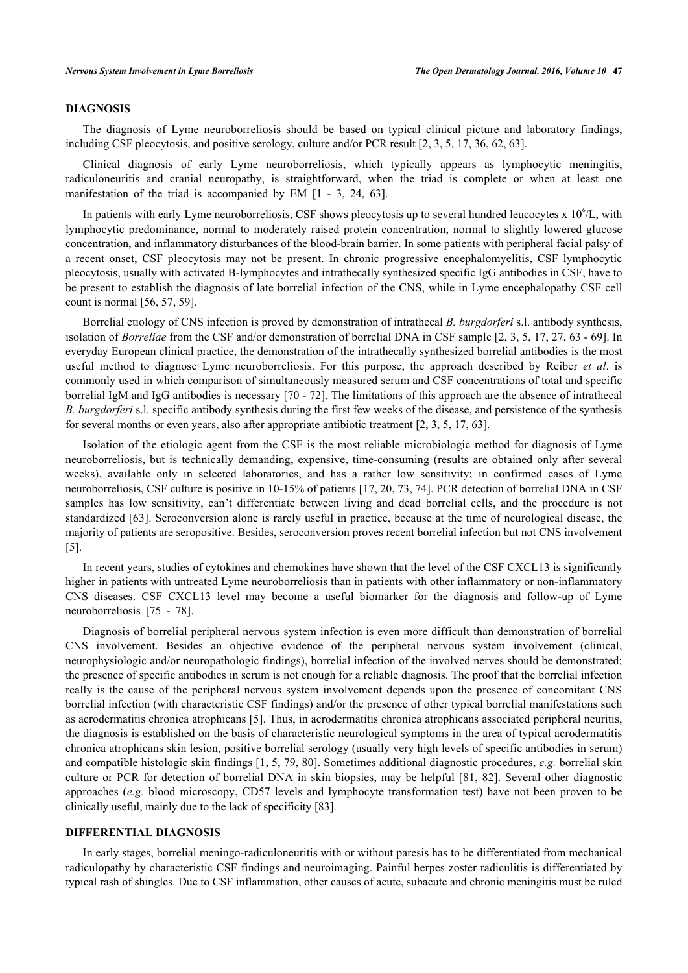# **DIAGNOSIS**

The diagnosis of Lyme neuroborreliosis should be based on typical clinical picture and laboratory findings, including CSF pleocytosis, and positive serology, culture and/or PCR result [[2,](#page-5-1) [3,](#page-5-2) [5,](#page-5-7) [17,](#page-5-13) [36,](#page-6-9) [62,](#page-8-0) [63\]](#page-8-1).

Clinical diagnosis of early Lyme neuroborreliosis, which typically appears as lymphocytic meningitis, radiculoneuritis and cranial neuropathy, is straightforward, when the triad is complete or when at least one manifestation of the triad is accompanied by EM[[1](#page-5-0) - [3](#page-5-2), [24](#page-6-3), [63](#page-8-1)].

In patients with early Lyme neuroborreliosis, CSF shows pleocytosis up to several hundred leucocytes x  $10<sup>6</sup>/L$ , with lymphocytic predominance, normal to moderately raised protein concentration, normal to slightly lowered glucose concentration, and inflammatory disturbances of the blood-brain barrier. In some patients with peripheral facial palsy of a recent onset, CSF pleocytosis may not be present. In chronic progressive encephalomyelitis, CSF lymphocytic pleocytosis, usually with activated B-lymphocytes and intrathecally synthesized specific IgG antibodies in CSF, have to be present to establish the diagnosis of late borrelial infection of the CNS, while in Lyme encephalopathy CSF cell count is normal [[56,](#page-7-16) [57,](#page-7-19) [59\]](#page-7-20).

Borrelial etiology of CNS infection is proved by demonstration of intrathecal *B. burgdorferi* s.l. antibody synthesis, isolation of *Borreliae* from the CSF and/or demonstration of borrelial DNA in CSF sample [[2,](#page-5-1) [3,](#page-5-2) [5](#page-5-7), [17](#page-5-13), [27,](#page-6-4) [63](#page-8-1) - [69\]](#page-8-2). In everyday European clinical practice, the demonstration of the intrathecally synthesized borrelial antibodies is the most useful method to diagnose Lyme neuroborreliosis. For this purpose, the approach described by Reiber *et al*. is commonly used in which comparison of simultaneously measured serum and CSF concentrations of total and specific borrelial IgM and IgG antibodies is necessary [[70](#page-8-3) - [72](#page-8-4)]. The limitations of this approach are the absence of intrathecal *B. burgdorferi* s.l. specific antibody synthesis during the first few weeks of the disease, and persistence of the synthesis for several months or even years, also after appropriate antibiotic treatment [\[2](#page-5-1), [3](#page-5-2), [5](#page-5-7), [17](#page-5-13), [63](#page-8-1)].

Isolation of the etiologic agent from the CSF is the most reliable microbiologic method for diagnosis of Lyme neuroborreliosis, but is technically demanding, expensive, time-consuming (results are obtained only after several weeks), available only in selected laboratories, and has a rather low sensitivity; in confirmed cases of Lyme neuroborreliosis, CSF culture is positive in 10-15% of patients [\[17](#page-5-13), [20](#page-6-0), [73](#page-8-5), [74](#page-8-6)]. PCR detection of borrelial DNA in CSF samples has low sensitivity, can't differentiate between living and dead borrelial cells, and the procedure is not standardized [[63](#page-8-1)]. Seroconversion alone is rarely useful in practice, because at the time of neurological disease, the majority of patients are seropositive. Besides, seroconversion proves recent borrelial infection but not CNS involvement [\[5](#page-5-7)].

In recent years, studies of cytokines and chemokines have shown that the level of the CSF CXCL13 is significantly higher in patients with untreated Lyme neuroborreliosis than in patients with other inflammatory or non-inflammatory CNS diseases. CSF CXCL13 level may become a useful biomarker for the diagnosis and follow-up of Lyme neuroborreliosis[[75](#page-8-7) - [78\]](#page-8-8).

Diagnosis of borrelial peripheral nervous system infection is even more difficult than demonstration of borrelial CNS involvement. Besides an objective evidence of the peripheral nervous system involvement (clinical, neurophysiologic and/or neuropathologic findings), borrelial infection of the involved nerves should be demonstrated; the presence of specific antibodies in serum is not enough for a reliable diagnosis. The proof that the borrelial infection really is the cause of the peripheral nervous system involvement depends upon the presence of concomitant CNS borrelial infection (with characteristic CSF findings) and/or the presence of other typical borrelial manifestations such as acrodermatitis chronica atrophicans [\[5](#page-5-7)]. Thus, in acrodermatitis chronica atrophicans associated peripheral neuritis, the diagnosis is established on the basis of characteristic neurological symptoms in the area of typical acrodermatitis chronica atrophicans skin lesion, positive borrelial serology (usually very high levels of specific antibodies in serum) and compatible histologic skin findings [[1,](#page-5-0) [5](#page-5-7), [79,](#page-8-9) [80\]](#page-8-10). Sometimes additional diagnostic procedures, *e.g.* borrelial skin culture or PCR for detection of borrelial DNA in skin biopsies, may be helpful [[81](#page-8-11), [82\]](#page-9-0). Several other diagnostic approaches (*e.g.* blood microscopy, CD57 levels and lymphocyte transformation test) have not been proven to be clinically useful, mainly due to the lack of specificity [[83\]](#page-9-1).

#### **DIFFERENTIAL DIAGNOSIS**

In early stages, borrelial meningo-radiculoneuritis with or without paresis has to be differentiated from mechanical radiculopathy by characteristic CSF findings and neuroimaging. Painful herpes zoster radiculitis is differentiated by typical rash of shingles. Due to CSF inflammation, other causes of acute, subacute and chronic meningitis must be ruled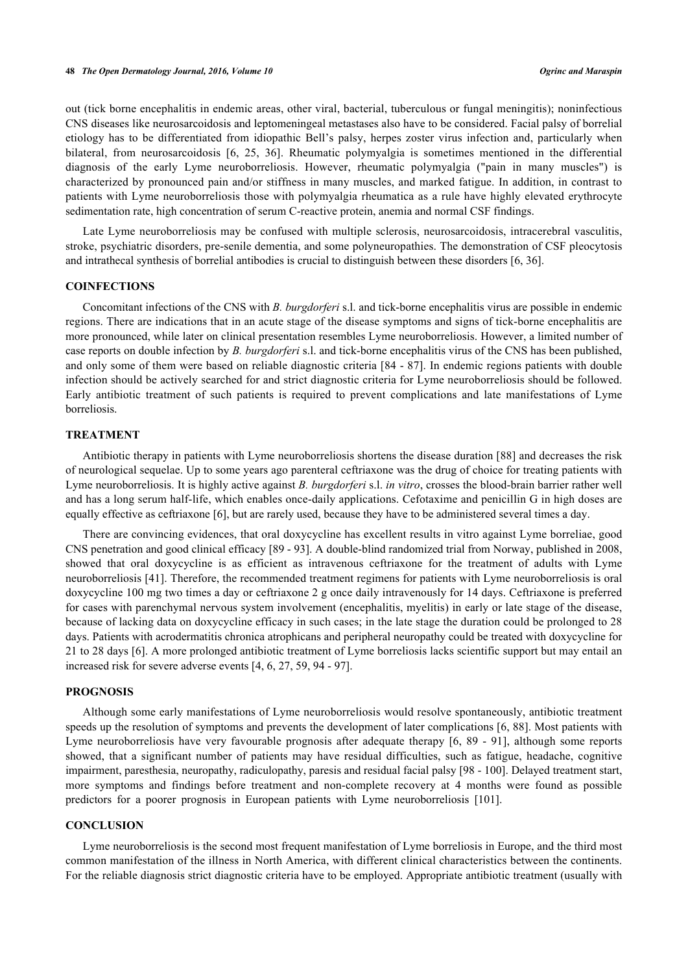out (tick borne encephalitis in endemic areas, other viral, bacterial, tuberculous or fungal meningitis); noninfectious CNS diseases like neurosarcoidosis and leptomeningeal metastases also have to be considered. Facial palsy of borrelial etiology has to be differentiated from idiopathic Bell's palsy, herpes zoster virus infection and, particularly when bilateral, from neurosarcoidosis [\[6](#page-5-4), [25,](#page-6-16) [36\]](#page-6-9). Rheumatic polymyalgia is sometimes mentioned in the differential diagnosis of the early Lyme neuroborreliosis. However, rheumatic polymyalgia ("pain in many muscles") is characterized by pronounced pain and/or stiffness in many muscles, and marked fatigue. In addition, in contrast to patients with Lyme neuroborreliosis those with polymyalgia rheumatica as a rule have highly elevated erythrocyte sedimentation rate, high concentration of serum C-reactive protein, anemia and normal CSF findings.

Late Lyme neuroborreliosis may be confused with multiple sclerosis, neurosarcoidosis, intracerebral vasculitis, stroke, psychiatric disorders, pre-senile dementia, and some polyneuropathies. The demonstration of CSF pleocytosis and intrathecal synthesis of borrelial antibodies is crucial to distinguish between these disorders [\[6](#page-5-4), [36](#page-6-9)].

#### **COINFECTIONS**

Concomitant infections of the CNS with *B. burgdorferi* s.l. and tick-borne encephalitis virus are possible in endemic regions. There are indications that in an acute stage of the disease symptoms and signs of tick-borne encephalitis are more pronounced, while later on clinical presentation resembles Lyme neuroborreliosis. However, a limited number of case reports on double infection by *B. burgdorferi* s.l. and tick-borne encephalitis virus of the CNS has been published, and only some of them were based on reliable diagnostic criteria [[84](#page-9-2) - [87\]](#page-9-3). In endemic regions patients with double infection should be actively searched for and strict diagnostic criteria for Lyme neuroborreliosis should be followed. Early antibiotic treatment of such patients is required to prevent complications and late manifestations of Lyme borreliosis.

# **TREATMENT**

Antibiotic therapy in patients with Lyme neuroborreliosis shortens the disease duration [[88](#page-9-4)] and decreases the risk of neurological sequelae. Up to some years ago parenteral ceftriaxone was the drug of choice for treating patients with Lyme neuroborreliosis. It is highly active against *B. burgdorferi* s.l. *in vitro*, crosses the blood-brain barrier rather well and has a long serum half-life, which enables once-daily applications. Cefotaxime and penicillin G in high doses are equally effective as ceftriaxone [[6\]](#page-5-4), but are rarely used, because they have to be administered several times a day.

There are convincing evidences, that oral doxycycline has excellent results in vitro against Lyme borreliae, good CNS penetration and good clinical efficacy [\[89](#page-9-5) - [93\]](#page-9-6). A double-blind randomized trial from Norway, published in 2008, showed that oral doxycycline is as efficient as intravenous ceftriaxone for the treatment of adults with Lyme neuroborreliosis [[41\]](#page-7-1). Therefore, the recommended treatment regimens for patients with Lyme neuroborreliosis is oral doxycycline 100 mg two times a day or ceftriaxone 2 g once daily intravenously for 14 days. Ceftriaxone is preferred for cases with parenchymal nervous system involvement (encephalitis, myelitis) in early or late stage of the disease, because of lacking data on doxycycline efficacy in such cases; in the late stage the duration could be prolonged to 28 days. Patients with acrodermatitis chronica atrophicans and peripheral neuropathy could be treated with doxycycline for 21 to 28 days [\[6](#page-5-4)]. A more prolonged antibiotic treatment of Lyme borreliosis lacks scientific support but may entail an increased risk for severe adverse events [\[4](#page-5-3), [6](#page-5-4), [27](#page-6-4), [59](#page-7-20), [94](#page-9-7) - [97](#page-9-8)].

# **PROGNOSIS**

Although some early manifestations of Lyme neuroborreliosis would resolve spontaneously, antibiotic treatment speeds up the resolution of symptoms and prevents the development of later complications [\[6,](#page-5-4) [88\]](#page-9-4). Most patients with Lyme neuroborreliosis have very favourable prognosis after adequate therapy [\[6](#page-5-4), [89](#page-9-5) - [91](#page-9-9)], although some reports showed, that a significant number of patients may have residual difficulties, such as fatigue, headache, cognitive impairment, paresthesia, neuropathy, radiculopathy, paresis and residual facial palsy [[98](#page-9-10) - [100](#page-5-0)]. Delayed treatment start, more symptoms and findings before treatment and non-complete recovery at 4 months were found as possible predictors for a poorer prognosis in European patients with Lyme neuroborreliosis[[101\]](#page-10-0).

#### **CONCLUSION**

Lyme neuroborreliosis is the second most frequent manifestation of Lyme borreliosis in Europe, and the third most common manifestation of the illness in North America, with different clinical characteristics between the continents. For the reliable diagnosis strict diagnostic criteria have to be employed. Appropriate antibiotic treatment (usually with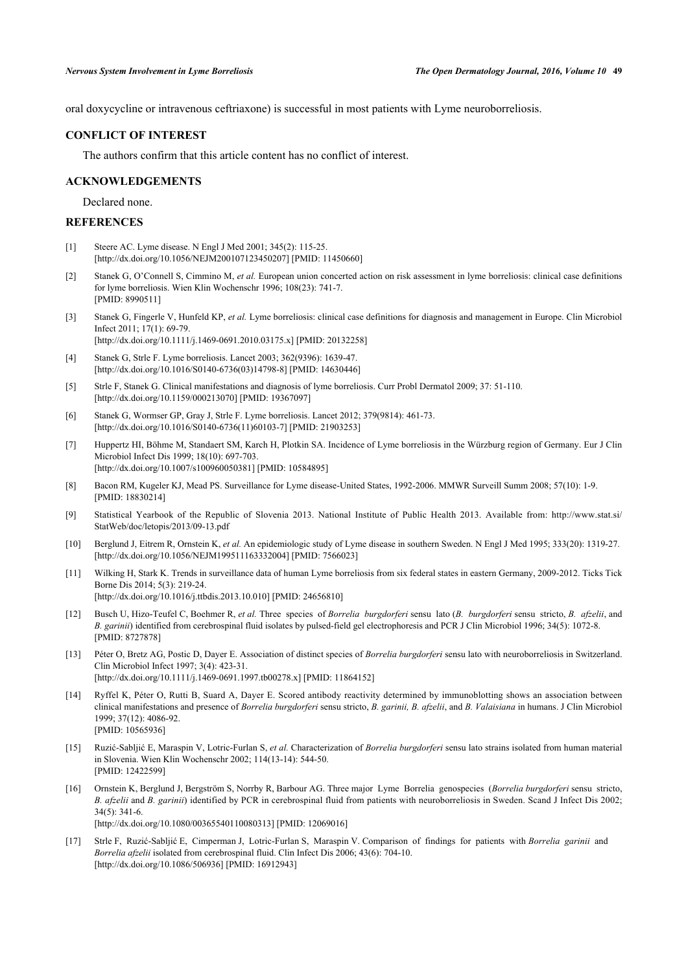oral doxycycline or intravenous ceftriaxone) is successful in most patients with Lyme neuroborreliosis.

#### **CONFLICT OF INTEREST**

The authors confirm that this article content has no conflict of interest.

#### **ACKNOWLEDGEMENTS**

Declared none.

# **REFERENCES**

- <span id="page-5-0"></span>[1] Steere AC. Lyme disease. N Engl J Med 2001; 345(2): 115-25. [\[http://dx.doi.org/10.1056/NEJM200107123450207\]](http://dx.doi.org/10.1056/NEJM200107123450207) [PMID: [11450660](http://www.ncbi.nlm.nih.gov/pubmed/11450660)]
- <span id="page-5-1"></span>[2] Stanek G, O'Connell S, Cimmino M, *et al.* European union concerted action on risk assessment in lyme borreliosis: clinical case definitions for lyme borreliosis. Wien Klin Wochenschr 1996; 108(23): 741-7. [PMID: [8990511\]](http://www.ncbi.nlm.nih.gov/pubmed/8990511)
- <span id="page-5-2"></span>[3] Stanek G, Fingerle V, Hunfeld KP, *et al.* Lyme borreliosis: clinical case definitions for diagnosis and management in Europe. Clin Microbiol Infect 2011; 17(1): 69-79.
- <span id="page-5-3"></span>[\[http://dx.doi.org/10.1111/j.1469-0691.2010.03175.x\]](http://dx.doi.org/10.1111/j.1469-0691.2010.03175.x) [PMID: [20132258](http://www.ncbi.nlm.nih.gov/pubmed/20132258)] [4] Stanek G, Strle F. Lyme borreliosis. Lancet 2003; 362(9396): 1639-47.
- [\[http://dx.doi.org/10.1016/S0140-6736\(03\)14798-8\]](http://dx.doi.org/10.1016/S0140-6736(03)14798-8) [PMID: [14630446](http://www.ncbi.nlm.nih.gov/pubmed/14630446)]
- <span id="page-5-7"></span>[5] Strle F, Stanek G. Clinical manifestations and diagnosis of lyme borreliosis. Curr Probl Dermatol 2009; 37: 51-110. [\[http://dx.doi.org/10.1159/000213070\]](http://dx.doi.org/10.1159/000213070) [PMID: [19367097](http://www.ncbi.nlm.nih.gov/pubmed/19367097)]
- <span id="page-5-4"></span>[6] Stanek G, Wormser GP, Gray J, Strle F. Lyme borreliosis. Lancet 2012; 379(9814): 461-73. [\[http://dx.doi.org/10.1016/S0140-6736\(11\)60103-7\]](http://dx.doi.org/10.1016/S0140-6736(11)60103-7) [PMID: [21903253](http://www.ncbi.nlm.nih.gov/pubmed/21903253)]
- <span id="page-5-5"></span>[7] Huppertz HI, Böhme M, Standaert SM, Karch H, Plotkin SA. Incidence of Lyme borreliosis in the Würzburg region of Germany. Eur J Clin Microbiol Infect Dis 1999; 18(10): 697-703. [\[http://dx.doi.org/10.1007/s100960050381\]](http://dx.doi.org/10.1007/s100960050381) [PMID: [10584895](http://www.ncbi.nlm.nih.gov/pubmed/10584895)]
- <span id="page-5-10"></span>[8] Bacon RM, Kugeler KJ, Mead PS. Surveillance for Lyme disease-United States, 1992-2006. MMWR Surveill Summ 2008; 57(10): 1-9. [PMID: [18830214\]](http://www.ncbi.nlm.nih.gov/pubmed/18830214)
- <span id="page-5-6"></span>[9] Statistical Yearbook of the Republic of Slovenia 2013. National Institute of Public Health 2013. Available from: http://www.stat.si/ StatWeb/doc/letopis/2013/09-13.pdf
- <span id="page-5-8"></span>[10] Berglund J, Eitrem R, Ornstein K, *et al.* An epidemiologic study of Lyme disease in southern Sweden. N Engl J Med 1995; 333(20): 1319-27. [\[http://dx.doi.org/10.1056/NEJM199511163332004\]](http://dx.doi.org/10.1056/NEJM199511163332004) [PMID: [7566023](http://www.ncbi.nlm.nih.gov/pubmed/7566023)]
- <span id="page-5-9"></span>[11] Wilking H, Stark K. Trends in surveillance data of human Lyme borreliosis from six federal states in eastern Germany, 2009-2012. Ticks Tick Borne Dis 2014; 5(3): 219-24. [\[http://dx.doi.org/10.1016/j.ttbdis.2013.10.010\]](http://dx.doi.org/10.1016/j.ttbdis.2013.10.010) [PMID: [24656810](http://www.ncbi.nlm.nih.gov/pubmed/24656810)]
- <span id="page-5-11"></span>[12] Busch U, Hizo-Teufel C, Boehmer R, *et al.* Three species of *Borrelia burgdorferi* sensu lato (*B. burgdorferi* sensu stricto, *B. afzelii*, and *B. garinii*) identified from cerebrospinal fluid isolates by pulsed-field gel electrophoresis and PCR J Clin Microbiol 1996; 34(5): 1072-8. [PMID: [8727878\]](http://www.ncbi.nlm.nih.gov/pubmed/8727878)
- [13] Péter O, Bretz AG, Postic D, Dayer E. Association of distinct species of *Borrelia burgdorferi* sensu lato with neuroborreliosis in Switzerland. Clin Microbiol Infect 1997; 3(4): 423-31. [\[http://dx.doi.org/10.1111/j.1469-0691.1997.tb00278.x\]](http://dx.doi.org/10.1111/j.1469-0691.1997.tb00278.x) [PMID: [11864152](http://www.ncbi.nlm.nih.gov/pubmed/11864152)]
- [14] Ryffel K, Péter O, Rutti B, Suard A, Dayer E. Scored antibody reactivity determined by immunoblotting shows an association between clinical manifestations and presence of *Borrelia burgdorferi* sensu stricto, *B. garinii, B. afzelii*, and *B. Valaisiana* in humans. J Clin Microbiol 1999; 37(12): 4086-92. [PMID: [10565936\]](http://www.ncbi.nlm.nih.gov/pubmed/10565936)
- <span id="page-5-12"></span>[15] Ruzić-Sabljić E, Maraspin V, Lotric-Furlan S, *et al.* Characterization of *Borrelia burgdorferi* sensu lato strains isolated from human material in Slovenia. Wien Klin Wochenschr 2002; 114(13-14): 544-50. [PMID: [12422599\]](http://www.ncbi.nlm.nih.gov/pubmed/12422599)
- [16] Ornstein K, Berglund J, Bergström S, Norrby R, Barbour AG. Three major Lyme Borrelia genospecies (*Borrelia burgdorferi* sensu stricto, *B. afzelii* and *B. garinii*) identified by PCR in cerebrospinal fluid from patients with neuroborreliosis in Sweden. Scand J Infect Dis 2002; 34(5): 341-6. [\[http://dx.doi.org/10.1080/00365540110080313\]](http://dx.doi.org/10.1080/00365540110080313) [PMID: [12069016](http://www.ncbi.nlm.nih.gov/pubmed/12069016)]
- <span id="page-5-13"></span>[17] Strle F, Ruzić-Sabljić E, Cimperman J, Lotric-Furlan S, Maraspin V. Comparison of findings for patients with *Borrelia garinii* and *Borrelia afzelii* isolated from cerebrospinal fluid. Clin Infect Dis 2006; 43(6): 704-10. [\[http://dx.doi.org/10.1086/506936\]](http://dx.doi.org/10.1086/506936) [PMID: [16912943](http://www.ncbi.nlm.nih.gov/pubmed/16912943)]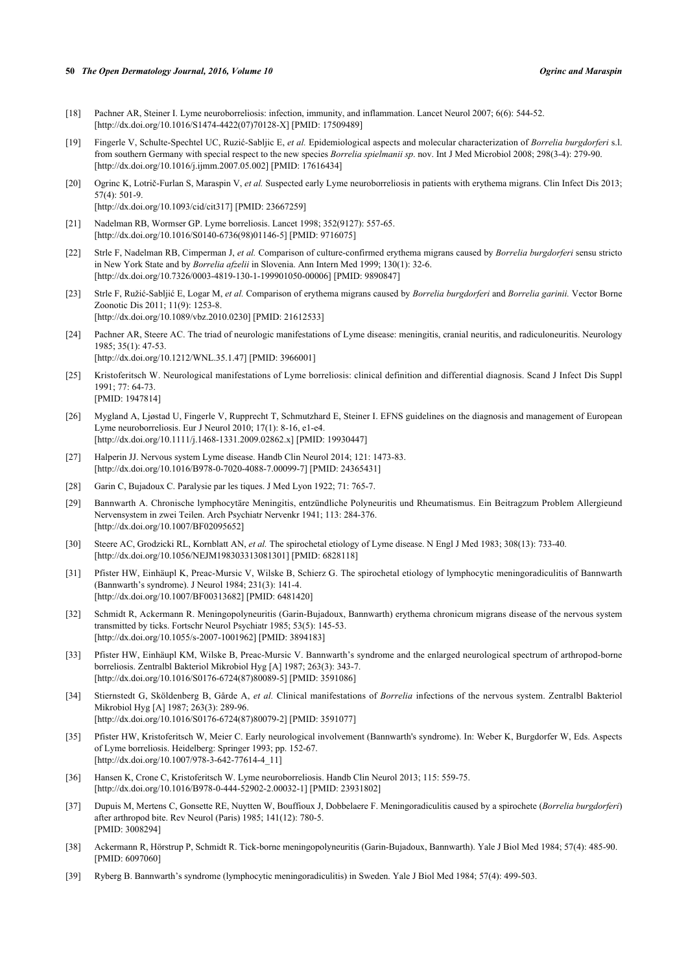#### **50** *The Open Dermatology Journal, 2016, Volume 10 Ogrinc and Maraspin*

- <span id="page-6-17"></span>[18] Pachner AR, Steiner I. Lyme neuroborreliosis: infection, immunity, and inflammation. Lancet Neurol 2007; 6(6): 544-52. [\[http://dx.doi.org/10.1016/S1474-4422\(07\)70128-X\]](http://dx.doi.org/10.1016/S1474-4422(07)70128-X) [PMID: [17509489](http://www.ncbi.nlm.nih.gov/pubmed/17509489)]
- [19] Fingerle V, Schulte-Spechtel UC, Ruzić-Sabljic E, *et al.* Epidemiological aspects and molecular characterization of *Borrelia burgdorferi* s.l. from southern Germany with special respect to the new species *Borrelia spielmanii sp*. nov. Int J Med Microbiol 2008; 298(3-4): 279-90. [\[http://dx.doi.org/10.1016/j.ijmm.2007.05.002\]](http://dx.doi.org/10.1016/j.ijmm.2007.05.002) [PMID: [17616434](http://www.ncbi.nlm.nih.gov/pubmed/17616434)]
- <span id="page-6-0"></span>[20] Ogrinc K, Lotrič-Furlan S, Maraspin V, *et al.* Suspected early Lyme neuroborreliosis in patients with erythema migrans. Clin Infect Dis 2013; 57(4): 501-9. [\[http://dx.doi.org/10.1093/cid/cit317\]](http://dx.doi.org/10.1093/cid/cit317) [PMID: [23667259](http://www.ncbi.nlm.nih.gov/pubmed/23667259)]
- <span id="page-6-1"></span>[21] Nadelman RB, Wormser GP. Lyme borreliosis. Lancet 1998; 352(9127): 557-65.
- [\[http://dx.doi.org/10.1016/S0140-6736\(98\)01146-5\]](http://dx.doi.org/10.1016/S0140-6736(98)01146-5) [PMID: [9716075](http://www.ncbi.nlm.nih.gov/pubmed/9716075)]
- [22] Strle F, Nadelman RB, Cimperman J, *et al.* Comparison of culture-confirmed erythema migrans caused by *Borrelia burgdorferi* sensu stricto in New York State and by *Borrelia afzelii* in Slovenia. Ann Intern Med 1999; 130(1): 32-6. [\[http://dx.doi.org/10.7326/0003-4819-130-1-199901050-00006](http://dx.doi.org/10.7326/0003-4819-130-1-199901050-00006)] [PMID: [9890847\]](http://www.ncbi.nlm.nih.gov/pubmed/9890847)
- <span id="page-6-2"></span>[23] Strle F, Ružić-Sabljić E, Logar M, *et al.* Comparison of erythema migrans caused by *Borrelia burgdorferi* and *Borrelia garinii.* Vector Borne Zoonotic Dis 2011; 11(9): 1253-8. [\[http://dx.doi.org/10.1089/vbz.2010.0230](http://dx.doi.org/10.1089/vbz.2010.0230)] [PMID: [21612533\]](http://www.ncbi.nlm.nih.gov/pubmed/21612533)
- <span id="page-6-3"></span>[24] Pachner AR, Steere AC. The triad of neurologic manifestations of Lyme disease: meningitis, cranial neuritis, and radiculoneuritis. Neurology 1985; 35(1): 47-53. [\[http://dx.doi.org/10.1212/WNL.35.1.47](http://dx.doi.org/10.1212/WNL.35.1.47)] [PMID: [3966001\]](http://www.ncbi.nlm.nih.gov/pubmed/3966001)
- <span id="page-6-16"></span>[25] Kristoferitsch W. Neurological manifestations of Lyme borreliosis: clinical definition and differential diagnosis. Scand J Infect Dis Suppl 1991; 77: 64-73. [PMID: [1947814\]](http://www.ncbi.nlm.nih.gov/pubmed/1947814)
- <span id="page-6-8"></span>[26] Mygland A, Ljøstad U, Fingerle V, Rupprecht T, Schmutzhard E, Steiner I. EFNS guidelines on the diagnosis and management of European Lyme neuroborreliosis. Eur J Neurol 2010; 17(1): 8-16, e1-e4. [\[http://dx.doi.org/10.1111/j.1468-1331.2009.02862.x\]](http://dx.doi.org/10.1111/j.1468-1331.2009.02862.x) [PMID: [19930447](http://www.ncbi.nlm.nih.gov/pubmed/19930447)]
- <span id="page-6-4"></span>[27] Halperin JJ. Nervous system Lyme disease. Handb Clin Neurol 2014; 121: 1473-83. [\[http://dx.doi.org/10.1016/B978-0-7020-4088-7.00099-7](http://dx.doi.org/10.1016/B978-0-7020-4088-7.00099-7)] [PMID: [24365431](http://www.ncbi.nlm.nih.gov/pubmed/24365431)]
- <span id="page-6-5"></span>[28] Garin C, Bujadoux C. Paralysie par les tiques. J Med Lyon 1922; 71: 765-7.
- <span id="page-6-7"></span>[29] Bannwarth A. Chronische lymphocytäre Meningitis, entzündliche Polyneuritis und Rheumatismus. Ein Beitragzum Problem Allergieund Nervensystem in zwei Teilen. Arch Psychiatr Nervenkr 1941; 113: 284-376. [\[http://dx.doi.org/10.1007/BF02095652\]](http://dx.doi.org/10.1007/BF02095652)
- [30] Steere AC, Grodzicki RL, Kornblatt AN, *et al.* The spirochetal etiology of Lyme disease. N Engl J Med 1983; 308(13): 733-40. [\[http://dx.doi.org/10.1056/NEJM198303313081301\]](http://dx.doi.org/10.1056/NEJM198303313081301) [PMID: [6828118](http://www.ncbi.nlm.nih.gov/pubmed/6828118)]
- <span id="page-6-6"></span>[31] Pfister HW, Einhäupl K, Preac-Mursic V, Wilske B, Schierz G. The spirochetal etiology of lymphocytic meningoradiculitis of Bannwarth (Bannwarth's syndrome). J Neurol 1984; 231(3): 141-4. [\[http://dx.doi.org/10.1007/BF00313682\]](http://dx.doi.org/10.1007/BF00313682) [PMID: [6481420](http://www.ncbi.nlm.nih.gov/pubmed/6481420)]
- <span id="page-6-12"></span>[32] Schmidt R, Ackermann R. Meningopolyneuritis (Garin-Bujadoux, Bannwarth) erythema chronicum migrans disease of the nervous system transmitted by ticks. Fortschr Neurol Psychiatr 1985; 53(5): 145-53. [\[http://dx.doi.org/10.1055/s-2007-1001962](http://dx.doi.org/10.1055/s-2007-1001962)] [PMID: [3894183\]](http://www.ncbi.nlm.nih.gov/pubmed/3894183)
- [33] Pfister HW, Einhäupl KM, Wilske B, Preac-Mursic V. Bannwarth's syndrome and the enlarged neurological spectrum of arthropod-borne borreliosis. Zentralbl Bakteriol Mikrobiol Hyg [A] 1987; 263(3): 343-7. [\[http://dx.doi.org/10.1016/S0176-6724\(87\)80089-5\]](http://dx.doi.org/10.1016/S0176-6724(87)80089-5) [PMID: [3591086](http://www.ncbi.nlm.nih.gov/pubmed/3591086)]
- <span id="page-6-14"></span>[34] Stiernstedt G, Sköldenberg B, Gårde A, *et al.* Clinical manifestations of *Borrelia* infections of the nervous system. Zentralbl Bakteriol Mikrobiol Hyg [A] 1987; 263(3): 289-96. [\[http://dx.doi.org/10.1016/S0176-6724\(87\)80079-2\]](http://dx.doi.org/10.1016/S0176-6724(87)80079-2) [PMID: [3591077](http://www.ncbi.nlm.nih.gov/pubmed/3591077)]
- <span id="page-6-15"></span>[35] Pfister HW, Kristoferitsch W, Meier C. Early neurological involvement (Bannwarth's syndrome). In: Weber K, Burgdorfer W, Eds. Aspects of Lyme borreliosis. Heidelberg: Springer 1993; pp. 152-67. [\[http://dx.doi.org/10.1007/978-3-642-77614-4\\_11](http://dx.doi.org/10.1007/978-3-642-77614-4_11)]
- <span id="page-6-9"></span>[36] Hansen K, Crone C, Kristoferitsch W. Lyme neuroborreliosis. Handb Clin Neurol 2013; 115: 559-75. [\[http://dx.doi.org/10.1016/B978-0-444-52902-2.00032-1](http://dx.doi.org/10.1016/B978-0-444-52902-2.00032-1)] [PMID: [23931802](http://www.ncbi.nlm.nih.gov/pubmed/23931802)]
- <span id="page-6-10"></span>[37] Dupuis M, Mertens C, Gonsette RE, Nuytten W, Bouffioux J, Dobbelaere F. Meningoradiculitis caused by a spirochete (*Borrelia burgdorferi*) after arthropod bite. Rev Neurol (Paris) 1985; 141(12): 780-5. [PMID: [3008294\]](http://www.ncbi.nlm.nih.gov/pubmed/3008294)
- <span id="page-6-11"></span>[38] Ackermann R, Hörstrup P, Schmidt R. Tick-borne meningopolyneuritis (Garin-Bujadoux, Bannwarth). Yale J Biol Med 1984; 57(4): 485-90. [PMID: [6097060\]](http://www.ncbi.nlm.nih.gov/pubmed/6097060)
- <span id="page-6-13"></span>[39] Ryberg B. Bannwarth's syndrome (lymphocytic meningoradiculitis) in Sweden. Yale J Biol Med 1984; 57(4): 499-503.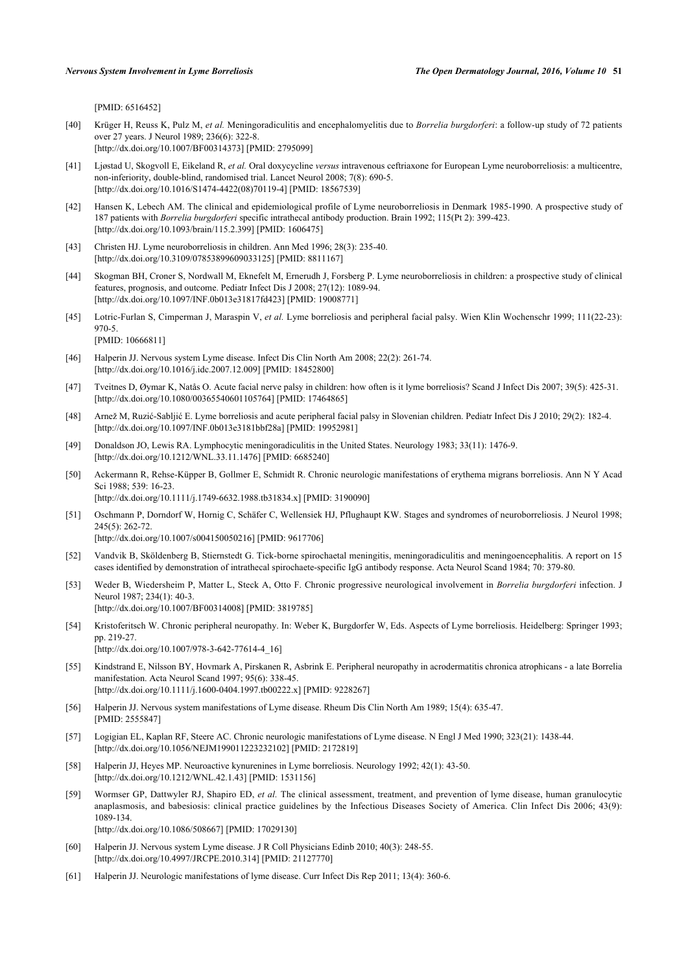[PMID: [6516452\]](http://www.ncbi.nlm.nih.gov/pubmed/6516452)

- <span id="page-7-0"></span>[40] Krüger H, Reuss K, Pulz M, *et al.* Meningoradiculitis and encephalomyelitis due to *Borrelia burgdorferi*: a follow-up study of 72 patients over 27 years. J Neurol 1989; 236(6): 322-8. [\[http://dx.doi.org/10.1007/BF00314373\]](http://dx.doi.org/10.1007/BF00314373) [PMID: [2795099](http://www.ncbi.nlm.nih.gov/pubmed/2795099)]
- <span id="page-7-1"></span>[41] Ljøstad U, Skogvoll E, Eikeland R, *et al.* Oral doxycycline *versus* intravenous ceftriaxone for European Lyme neuroborreliosis: a multicentre, non-inferiority, double-blind, randomised trial. Lancet Neurol 2008; 7(8): 690-5. [\[http://dx.doi.org/10.1016/S1474-4422\(08\)70119-4\]](http://dx.doi.org/10.1016/S1474-4422(08)70119-4) [PMID: [18567539](http://www.ncbi.nlm.nih.gov/pubmed/18567539)]
- <span id="page-7-2"></span>[42] Hansen K, Lebech AM. The clinical and epidemiological profile of Lyme neuroborreliosis in Denmark 1985-1990. A prospective study of 187 patients with *Borrelia burgdorferi* specific intrathecal antibody production. Brain 1992; 115(Pt 2): 399-423. [\[http://dx.doi.org/10.1093/brain/115.2.399](http://dx.doi.org/10.1093/brain/115.2.399)] [PMID: [1606475](http://www.ncbi.nlm.nih.gov/pubmed/1606475)]
- <span id="page-7-6"></span>[43] Christen HJ. Lyme neuroborreliosis in children. Ann Med 1996; 28(3): 235-40. [\[http://dx.doi.org/10.3109/07853899609033125\]](http://dx.doi.org/10.3109/07853899609033125) [PMID: [8811167](http://www.ncbi.nlm.nih.gov/pubmed/8811167)]
- <span id="page-7-3"></span>[44] Skogman BH, Croner S, Nordwall M, Eknefelt M, Ernerudh J, Forsberg P. Lyme neuroborreliosis in children: a prospective study of clinical features, prognosis, and outcome. Pediatr Infect Dis J 2008; 27(12): 1089-94. [\[http://dx.doi.org/10.1097/INF.0b013e31817fd423\]](http://dx.doi.org/10.1097/INF.0b013e31817fd423) [PMID: [19008771](http://www.ncbi.nlm.nih.gov/pubmed/19008771)]
- <span id="page-7-4"></span>[45] Lotric-Furlan S, Cimperman J, Maraspin V, *et al.* Lyme borreliosis and peripheral facial palsy. Wien Klin Wochenschr 1999; 111(22-23): 970-5. [PMID: [10666811\]](http://www.ncbi.nlm.nih.gov/pubmed/10666811)
- <span id="page-7-5"></span>[46] Halperin JJ. Nervous system Lyme disease. Infect Dis Clin North Am 2008; 22(2): 261-74. [\[http://dx.doi.org/10.1016/j.idc.2007.12.009\]](http://dx.doi.org/10.1016/j.idc.2007.12.009) [PMID: [18452800](http://www.ncbi.nlm.nih.gov/pubmed/18452800)]
- <span id="page-7-7"></span>[47] Tveitnes D, Øymar K, Natås O. Acute facial nerve palsy in children: how often is it lyme borreliosis? Scand J Infect Dis 2007; 39(5): 425-31. [\[http://dx.doi.org/10.1080/00365540601105764\]](http://dx.doi.org/10.1080/00365540601105764) [PMID: [17464865](http://www.ncbi.nlm.nih.gov/pubmed/17464865)]
- <span id="page-7-8"></span>[48] Arnež M, Ruzić-Sabljić E. Lyme borreliosis and acute peripheral facial palsy in Slovenian children. Pediatr Infect Dis J 2010; 29(2): 182-4. [\[http://dx.doi.org/10.1097/INF.0b013e3181bbf28a](http://dx.doi.org/10.1097/INF.0b013e3181bbf28a)] [PMID: [19952981](http://www.ncbi.nlm.nih.gov/pubmed/19952981)]
- <span id="page-7-9"></span>[49] Donaldson JO, Lewis RA. Lymphocytic meningoradiculitis in the United States. Neurology 1983; 33(11): 1476-9. [\[http://dx.doi.org/10.1212/WNL.33.11.1476](http://dx.doi.org/10.1212/WNL.33.11.1476)] [PMID: [6685240\]](http://www.ncbi.nlm.nih.gov/pubmed/6685240)
- <span id="page-7-10"></span>[50] Ackermann R, Rehse-Küpper B, Gollmer E, Schmidt R. Chronic neurologic manifestations of erythema migrans borreliosis. Ann N Y Acad Sci 1988; 539: 16-23. [\[http://dx.doi.org/10.1111/j.1749-6632.1988.tb31834.x\]](http://dx.doi.org/10.1111/j.1749-6632.1988.tb31834.x) [PMID: [3190090](http://www.ncbi.nlm.nih.gov/pubmed/3190090)]
- <span id="page-7-11"></span>[51] Oschmann P, Dorndorf W, Hornig C, Schäfer C, Wellensiek HJ, Pflughaupt KW. Stages and syndromes of neuroborreliosis. J Neurol 1998; 245(5): 262-72. [\[http://dx.doi.org/10.1007/s004150050216\]](http://dx.doi.org/10.1007/s004150050216) [PMID: [9617706](http://www.ncbi.nlm.nih.gov/pubmed/9617706)]
- <span id="page-7-12"></span>[52] Vandvik B, Sköldenberg B, Stiernstedt G. Tick-borne spirochaetal meningitis, meningoradiculitis and meningoencephalitis. A report on 15 cases identified by demonstration of intrathecal spirochaete-specific IgG antibody response. Acta Neurol Scand 1984; 70: 379-80.
- <span id="page-7-13"></span>[53] Weder B, Wiedersheim P, Matter L, Steck A, Otto F. Chronic progressive neurological involvement in *Borrelia burgdorferi* infection. J Neurol 1987; 234(1): 40-3.
- [\[http://dx.doi.org/10.1007/BF00314008\]](http://dx.doi.org/10.1007/BF00314008) [PMID: [3819785](http://www.ncbi.nlm.nih.gov/pubmed/3819785)]
- <span id="page-7-14"></span>[54] Kristoferitsch W. Chronic peripheral neuropathy. In: Weber K, Burgdorfer W, Eds. Aspects of Lyme borreliosis. Heidelberg: Springer 1993; pp. 219-27. [\[http://dx.doi.org/10.1007/978-3-642-77614-4\\_16](http://dx.doi.org/10.1007/978-3-642-77614-4_16)]
- <span id="page-7-15"></span>[55] Kindstrand E, Nilsson BY, Hovmark A, Pirskanen R, Asbrink E. Peripheral neuropathy in acrodermatitis chronica atrophicans - a late Borrelia manifestation. Acta Neurol Scand 1997; 95(6): 338-45. [\[http://dx.doi.org/10.1111/j.1600-0404.1997.tb00222.x\]](http://dx.doi.org/10.1111/j.1600-0404.1997.tb00222.x) [PMID: [9228267](http://www.ncbi.nlm.nih.gov/pubmed/9228267)]
- <span id="page-7-16"></span>[56] Halperin JJ. Nervous system manifestations of Lyme disease. Rheum Dis Clin North Am 1989; 15(4): 635-47. [PMID: [2555847\]](http://www.ncbi.nlm.nih.gov/pubmed/2555847)
- <span id="page-7-19"></span>[57] Logigian EL, Kaplan RF, Steere AC. Chronic neurologic manifestations of Lyme disease. N Engl J Med 1990; 323(21): 1438-44. [\[http://dx.doi.org/10.1056/NEJM199011223232102\]](http://dx.doi.org/10.1056/NEJM199011223232102) [PMID: [2172819](http://www.ncbi.nlm.nih.gov/pubmed/2172819)]
- [58] Halperin JJ, Heyes MP. Neuroactive kynurenines in Lyme borreliosis. Neurology 1992; 42(1): 43-50. [\[http://dx.doi.org/10.1212/WNL.42.1.43](http://dx.doi.org/10.1212/WNL.42.1.43)] [PMID: [1531156\]](http://www.ncbi.nlm.nih.gov/pubmed/1531156)
- <span id="page-7-20"></span>[59] Wormser GP, Dattwyler RJ, Shapiro ED, *et al.* The clinical assessment, treatment, and prevention of lyme disease, human granulocytic anaplasmosis, and babesiosis: clinical practice guidelines by the Infectious Diseases Society of America. Clin Infect Dis 2006; 43(9): 1089-134. [\[http://dx.doi.org/10.1086/508667\]](http://dx.doi.org/10.1086/508667) [PMID: [17029130](http://www.ncbi.nlm.nih.gov/pubmed/17029130)]
- <span id="page-7-18"></span>[60] Halperin JJ. Nervous system Lyme disease. J R Coll Physicians Edinb 2010; 40(3): 248-55. [\[http://dx.doi.org/10.4997/JRCPE.2010.314\]](http://dx.doi.org/10.4997/JRCPE.2010.314) [PMID: [21127770](http://www.ncbi.nlm.nih.gov/pubmed/21127770)]
- <span id="page-7-17"></span>[61] Halperin JJ. Neurologic manifestations of lyme disease. Curr Infect Dis Rep 2011; 13(4): 360-6.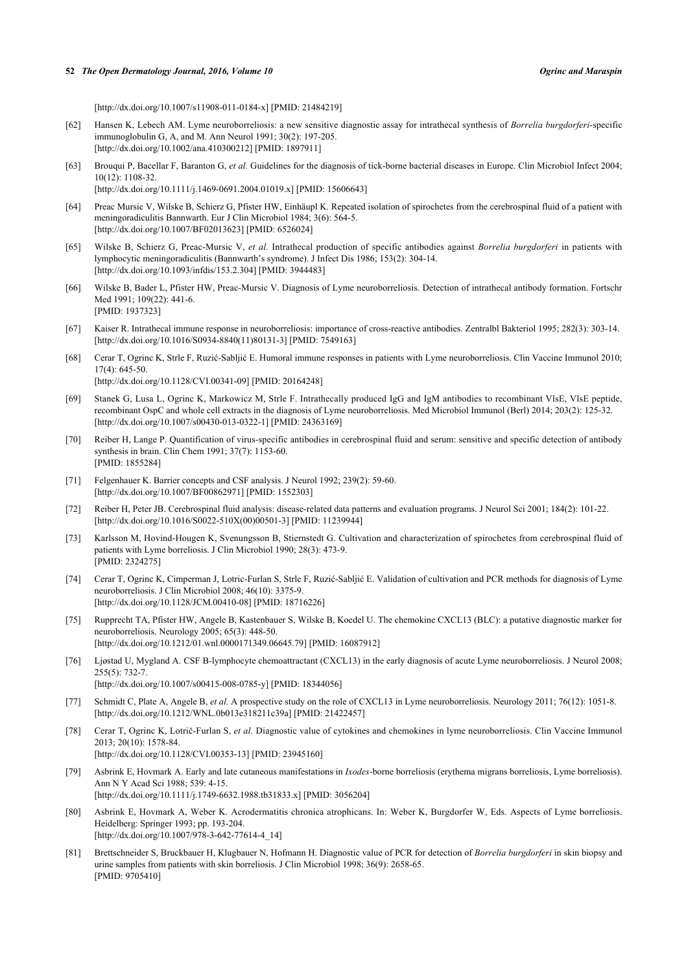[\[http://dx.doi.org/10.1007/s11908-011-0184-x\]](http://dx.doi.org/10.1007/s11908-011-0184-x) [PMID: [21484219](http://www.ncbi.nlm.nih.gov/pubmed/21484219)]

- <span id="page-8-0"></span>[62] Hansen K, Lebech AM. Lyme neuroborreliosis: a new sensitive diagnostic assay for intrathecal synthesis of *Borrelia burgdorferi*-specific immunoglobulin G, A, and M. Ann Neurol 1991; 30(2): 197-205. [\[http://dx.doi.org/10.1002/ana.410300212\]](http://dx.doi.org/10.1002/ana.410300212) [PMID: [1897911](http://www.ncbi.nlm.nih.gov/pubmed/1897911)]
- <span id="page-8-1"></span>[63] Brouqui P, Bacellar F, Baranton G, *et al.* Guidelines for the diagnosis of tick-borne bacterial diseases in Europe. Clin Microbiol Infect 2004; 10(12): 1108-32. [\[http://dx.doi.org/10.1111/j.1469-0691.2004.01019.x\]](http://dx.doi.org/10.1111/j.1469-0691.2004.01019.x) [PMID: [15606643](http://www.ncbi.nlm.nih.gov/pubmed/15606643)]
- 
- [64] Preac Mursic V, Wilske B, Schierz G, Pfister HW, Einhäupl K. Repeated isolation of spirochetes from the cerebrospinal fluid of a patient with meningoradiculitis Bannwarth. Eur J Clin Microbiol 1984; 3(6): 564-5. [\[http://dx.doi.org/10.1007/BF02013623\]](http://dx.doi.org/10.1007/BF02013623) [PMID: [6526024](http://www.ncbi.nlm.nih.gov/pubmed/6526024)]
- [65] Wilske B, Schierz G, Preac-Mursic V, *et al.* Intrathecal production of specific antibodies against *Borrelia burgdorferi* in patients with lymphocytic meningoradiculitis (Bannwarth's syndrome). J Infect Dis 1986; 153(2): 304-14. [\[http://dx.doi.org/10.1093/infdis/153.2.304](http://dx.doi.org/10.1093/infdis/153.2.304)] [PMID: [3944483\]](http://www.ncbi.nlm.nih.gov/pubmed/3944483)
- [66] Wilske B, Bader L, Pfister HW, Preac-Mursic V. Diagnosis of Lyme neuroborreliosis. Detection of intrathecal antibody formation. Fortschr Med 1991; 109(22): 441-6. [PMID: [1937323\]](http://www.ncbi.nlm.nih.gov/pubmed/1937323)
- [67] Kaiser R. Intrathecal immune response in neuroborreliosis: importance of cross-reactive antibodies. Zentralbl Bakteriol 1995; 282(3): 303-14. [\[http://dx.doi.org/10.1016/S0934-8840\(11\)80131-3\]](http://dx.doi.org/10.1016/S0934-8840(11)80131-3) [PMID: [7549163](http://www.ncbi.nlm.nih.gov/pubmed/7549163)]
- [68] Cerar T, Ogrinc K, Strle F, Ruzić-Sabljić E. Humoral immune responses in patients with Lyme neuroborreliosis. Clin Vaccine Immunol 2010; 17(4): 645-50.

[\[http://dx.doi.org/10.1128/CVI.00341-09](http://dx.doi.org/10.1128/CVI.00341-09)] [PMID: [20164248\]](http://www.ncbi.nlm.nih.gov/pubmed/20164248)

- <span id="page-8-2"></span>[69] Stanek G, Lusa L, Ogrinc K, Markowicz M, Strle F. Intrathecally produced IgG and IgM antibodies to recombinant VlsE, VlsE peptide, recombinant OspC and whole cell extracts in the diagnosis of Lyme neuroborreliosis. Med Microbiol Immunol (Berl) 2014; 203(2): 125-32. [\[http://dx.doi.org/10.1007/s00430-013-0322-1\]](http://dx.doi.org/10.1007/s00430-013-0322-1) [PMID: [24363169](http://www.ncbi.nlm.nih.gov/pubmed/24363169)]
- <span id="page-8-3"></span>[70] Reiber H, Lange P. Quantification of virus-specific antibodies in cerebrospinal fluid and serum: sensitive and specific detection of antibody synthesis in brain. Clin Chem 1991; 37(7): 1153-60. [PMID: [1855284\]](http://www.ncbi.nlm.nih.gov/pubmed/1855284)
- [71] Felgenhauer K. Barrier concepts and CSF analysis. J Neurol 1992; 239(2): 59-60. [\[http://dx.doi.org/10.1007/BF00862971\]](http://dx.doi.org/10.1007/BF00862971) [PMID: [1552303](http://www.ncbi.nlm.nih.gov/pubmed/1552303)]
- <span id="page-8-4"></span>[72] Reiber H, Peter JB. Cerebrospinal fluid analysis: disease-related data patterns and evaluation programs. J Neurol Sci 2001; 184(2): 101-22. [\[http://dx.doi.org/10.1016/S0022-510X\(00\)00501-3\]](http://dx.doi.org/10.1016/S0022-510X(00)00501-3) [PMID: [11239944](http://www.ncbi.nlm.nih.gov/pubmed/11239944)]
- <span id="page-8-5"></span>[73] Karlsson M, Hovind-Hougen K, Svenungsson B, Stiernstedt G. Cultivation and characterization of spirochetes from cerebrospinal fluid of patients with Lyme borreliosis. J Clin Microbiol 1990; 28(3): 473-9. [PMID: [2324275\]](http://www.ncbi.nlm.nih.gov/pubmed/2324275)
- <span id="page-8-6"></span>[74] Cerar T, Ogrinc K, Cimperman J, Lotric-Furlan S, Strle F, Ruzić-Sabljić E. Validation of cultivation and PCR methods for diagnosis of Lyme neuroborreliosis. J Clin Microbiol 2008; 46(10): 3375-9. [\[http://dx.doi.org/10.1128/JCM.00410-08](http://dx.doi.org/10.1128/JCM.00410-08)] [PMID: [18716226\]](http://www.ncbi.nlm.nih.gov/pubmed/18716226)
- <span id="page-8-7"></span>[75] Rupprecht TA, Pfister HW, Angele B, Kastenbauer S, Wilske B, Koedel U. The chemokine CXCL13 (BLC): a putative diagnostic marker for neuroborreliosis. Neurology 2005; 65(3): 448-50. [\[http://dx.doi.org/10.1212/01.wnl.0000171349.06645.79\]](http://dx.doi.org/10.1212/01.wnl.0000171349.06645.79) [PMID: [16087912](http://www.ncbi.nlm.nih.gov/pubmed/16087912)]
- [76] Ljøstad U, Mygland A. CSF B-lymphocyte chemoattractant (CXCL13) in the early diagnosis of acute Lyme neuroborreliosis. J Neurol 2008; 255(5): 732-7. [\[http://dx.doi.org/10.1007/s00415-008-0785-y\]](http://dx.doi.org/10.1007/s00415-008-0785-y) [PMID: [18344056](http://www.ncbi.nlm.nih.gov/pubmed/18344056)]
- [77] Schmidt C, Plate A, Angele B, *et al.* A prospective study on the role of CXCL13 in Lyme neuroborreliosis. Neurology 2011; 76(12): 1051-8. [\[http://dx.doi.org/10.1212/WNL.0b013e318211c39a\]](http://dx.doi.org/10.1212/WNL.0b013e318211c39a) [PMID: [21422457](http://www.ncbi.nlm.nih.gov/pubmed/21422457)]
- <span id="page-8-8"></span>[78] Cerar T, Ogrinc K, Lotrič-Furlan S, *et al.* Diagnostic value of cytokines and chemokines in lyme neuroborreliosis. Clin Vaccine Immunol 2013; 20(10): 1578-84. [\[http://dx.doi.org/10.1128/CVI.00353-13](http://dx.doi.org/10.1128/CVI.00353-13)] [PMID: [23945160\]](http://www.ncbi.nlm.nih.gov/pubmed/23945160)
- <span id="page-8-9"></span>[79] Asbrink E, Hovmark A. Early and late cutaneous manifestations in *Ixodes*-borne borreliosis (erythema migrans borreliosis, Lyme borreliosis). Ann N Y Acad Sci 1988; 539: 4-15. [\[http://dx.doi.org/10.1111/j.1749-6632.1988.tb31833.x\]](http://dx.doi.org/10.1111/j.1749-6632.1988.tb31833.x) [PMID: [3056204](http://www.ncbi.nlm.nih.gov/pubmed/3056204)]
- <span id="page-8-10"></span>[80] Asbrink E, Hovmark A, Weber K. Acrodermatitis chronica atrophicans. In: Weber K, Burgdorfer W, Eds. Aspects of Lyme borreliosis. Heidelberg: Springer 1993; pp. 193-204. [\[http://dx.doi.org/10.1007/978-3-642-77614-4\\_14](http://dx.doi.org/10.1007/978-3-642-77614-4_14)]
- <span id="page-8-11"></span>[81] Brettschneider S, Bruckbauer H, Klugbauer N, Hofmann H. Diagnostic value of PCR for detection of *Borrelia burgdorferi* in skin biopsy and urine samples from patients with skin borreliosis. J Clin Microbiol 1998; 36(9): 2658-65. [PMID: [9705410\]](http://www.ncbi.nlm.nih.gov/pubmed/9705410)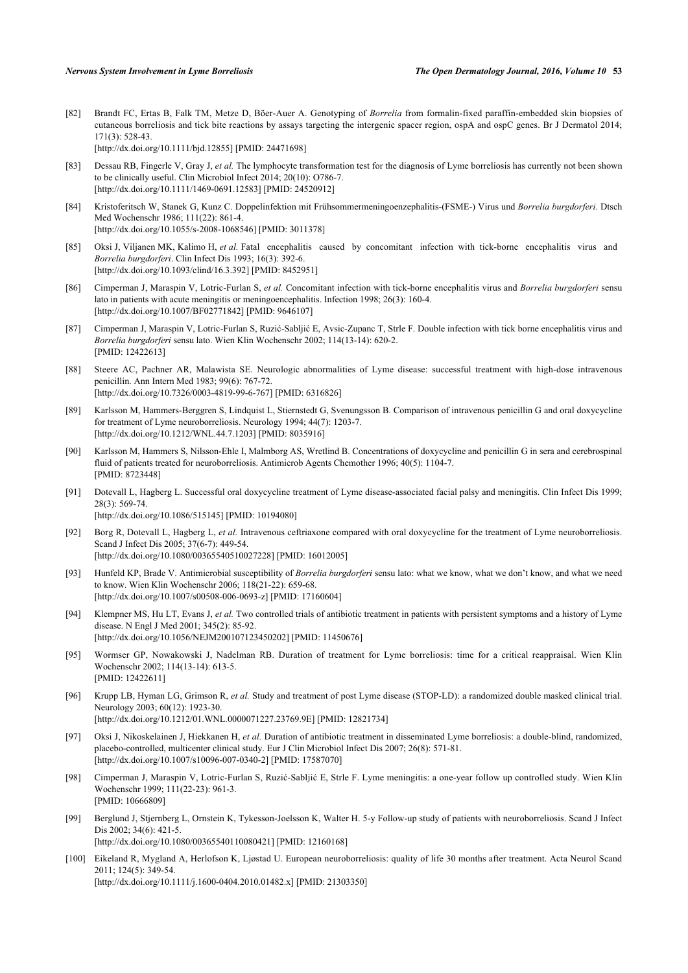<span id="page-9-0"></span>[82] Brandt FC, Ertas B, Falk TM, Metze D, Böer-Auer A. Genotyping of *Borrelia* from formalin-fixed paraffin-embedded skin biopsies of cutaneous borreliosis and tick bite reactions by assays targeting the intergenic spacer region, ospA and ospC genes. Br J Dermatol 2014; 171(3): 528-43.

[\[http://dx.doi.org/10.1111/bjd.12855](http://dx.doi.org/10.1111/bjd.12855)] [PMID: [24471698\]](http://www.ncbi.nlm.nih.gov/pubmed/24471698)

- <span id="page-9-1"></span>[83] Dessau RB, Fingerle V, Gray J, *et al.* The lymphocyte transformation test for the diagnosis of Lyme borreliosis has currently not been shown to be clinically useful. Clin Microbiol Infect 2014; 20(10): O786-7. [\[http://dx.doi.org/10.1111/1469-0691.12583](http://dx.doi.org/10.1111/1469-0691.12583)] [PMID: [24520912](http://www.ncbi.nlm.nih.gov/pubmed/24520912)]
- <span id="page-9-2"></span>[84] Kristoferitsch W, Stanek G, Kunz C. Doppelinfektion mit Frühsommermeningoenzephalitis-(FSME-) Virus und *Borrelia burgdorferi*. Dtsch Med Wochenschr 1986; 111(22): 861-4. [\[http://dx.doi.org/10.1055/s-2008-1068546](http://dx.doi.org/10.1055/s-2008-1068546)] [PMID: [3011378\]](http://www.ncbi.nlm.nih.gov/pubmed/3011378)
- [85] Oksi J, Viljanen MK, Kalimo H, *et al.* Fatal encephalitis caused by concomitant infection with tick-borne encephalitis virus and *Borrelia burgdorferi*. Clin Infect Dis 1993; 16(3): 392-6. [\[http://dx.doi.org/10.1093/clind/16.3.392](http://dx.doi.org/10.1093/clind/16.3.392)] [PMID: [8452951\]](http://www.ncbi.nlm.nih.gov/pubmed/8452951)
- [86] Cimperman J, Maraspin V, Lotric-Furlan S, *et al.* Concomitant infection with tick-borne encephalitis virus and *Borrelia burgdorferi* sensu lato in patients with acute meningitis or meningoencephalitis. Infection 1998: 26(3): 160-4. [\[http://dx.doi.org/10.1007/BF02771842\]](http://dx.doi.org/10.1007/BF02771842) [PMID: [9646107](http://www.ncbi.nlm.nih.gov/pubmed/9646107)]
- <span id="page-9-3"></span>[87] Cimperman J, Maraspin V, Lotric-Furlan S, Ruzić-Sabljić E, Avsic-Zupanc T, Strle F. Double infection with tick borne encephalitis virus and *Borrelia burgdorferi* sensu lato. Wien Klin Wochenschr 2002; 114(13-14): 620-2. [PMID: [12422613\]](http://www.ncbi.nlm.nih.gov/pubmed/12422613)
- <span id="page-9-4"></span>[88] Steere AC, Pachner AR, Malawista SE. Neurologic abnormalities of Lyme disease: successful treatment with high-dose intravenous penicillin. Ann Intern Med 1983; 99(6): 767-72. [\[http://dx.doi.org/10.7326/0003-4819-99-6-767](http://dx.doi.org/10.7326/0003-4819-99-6-767)] [PMID: [6316826](http://www.ncbi.nlm.nih.gov/pubmed/6316826)]
- <span id="page-9-5"></span>[89] Karlsson M, Hammers-Berggren S, Lindquist L, Stiernstedt G, Svenungsson B. Comparison of intravenous penicillin G and oral doxycycline for treatment of Lyme neuroborreliosis. Neurology 1994; 44(7): 1203-7. [\[http://dx.doi.org/10.1212/WNL.44.7.1203](http://dx.doi.org/10.1212/WNL.44.7.1203)] [PMID: [8035916\]](http://www.ncbi.nlm.nih.gov/pubmed/8035916)
- [90] Karlsson M, Hammers S, Nilsson-Ehle I, Malmborg AS, Wretlind B. Concentrations of doxycycline and penicillin G in sera and cerebrospinal fluid of patients treated for neuroborreliosis. Antimicrob Agents Chemother 1996; 40(5): 1104-7. [PMID: [8723448\]](http://www.ncbi.nlm.nih.gov/pubmed/8723448)
- <span id="page-9-9"></span>[91] Dotevall L, Hagberg L. Successful oral doxycycline treatment of Lyme disease-associated facial palsy and meningitis. Clin Infect Dis 1999; 28(3): 569-74. [\[http://dx.doi.org/10.1086/515145\]](http://dx.doi.org/10.1086/515145) [PMID: [10194080](http://www.ncbi.nlm.nih.gov/pubmed/10194080)]
- [92] Borg R, Dotevall L, Hagberg L, *et al.* Intravenous ceftriaxone compared with oral doxycycline for the treatment of Lyme neuroborreliosis. Scand J Infect Dis 2005; 37(6-7): 449-54. [\[http://dx.doi.org/10.1080/00365540510027228\]](http://dx.doi.org/10.1080/00365540510027228) [PMID: [16012005](http://www.ncbi.nlm.nih.gov/pubmed/16012005)]
- <span id="page-9-6"></span>[93] Hunfeld KP, Brade V. Antimicrobial susceptibility of *Borrelia burgdorferi* sensu lato: what we know, what we don't know, and what we need to know. Wien Klin Wochenschr 2006; 118(21-22): 659-68. [\[http://dx.doi.org/10.1007/s00508-006-0693-z](http://dx.doi.org/10.1007/s00508-006-0693-z)] [PMID: [17160604](http://www.ncbi.nlm.nih.gov/pubmed/17160604)]
- <span id="page-9-7"></span>[94] Klempner MS, Hu LT, Evans J, *et al.* Two controlled trials of antibiotic treatment in patients with persistent symptoms and a history of Lyme disease. N Engl J Med 2001; 345(2): 85-92. [\[http://dx.doi.org/10.1056/NEJM200107123450202\]](http://dx.doi.org/10.1056/NEJM200107123450202) [PMID: [11450676](http://www.ncbi.nlm.nih.gov/pubmed/11450676)]
- [95] Wormser GP, Nowakowski J, Nadelman RB. Duration of treatment for Lyme borreliosis: time for a critical reappraisal. Wien Klin Wochenschr 2002; 114(13-14): 613-5. [PMID: [12422611\]](http://www.ncbi.nlm.nih.gov/pubmed/12422611)
- [96] Krupp LB, Hyman LG, Grimson R, *et al.* Study and treatment of post Lyme disease (STOP-LD): a randomized double masked clinical trial. Neurology 2003; 60(12): 1923-30. [\[http://dx.doi.org/10.1212/01.WNL.0000071227.23769.9E\]](http://dx.doi.org/10.1212/01.WNL.0000071227.23769.9E) [PMID: [12821734](http://www.ncbi.nlm.nih.gov/pubmed/12821734)]
- <span id="page-9-8"></span>[97] Oksi J, Nikoskelainen J, Hiekkanen H, *et al.* Duration of antibiotic treatment in disseminated Lyme borreliosis: a double-blind, randomized, placebo-controlled, multicenter clinical study. Eur J Clin Microbiol Infect Dis 2007; 26(8): 571-81. [\[http://dx.doi.org/10.1007/s10096-007-0340-2\]](http://dx.doi.org/10.1007/s10096-007-0340-2) [PMID: [17587070](http://www.ncbi.nlm.nih.gov/pubmed/17587070)]
- <span id="page-9-10"></span>[98] Cimperman J, Maraspin V, Lotric-Furlan S, Ruzić-Sabljić E, Strle F. Lyme meningitis: a one-year follow up controlled study. Wien Klin Wochenschr 1999; 111(22-23): 961-3. [PMID: [10666809\]](http://www.ncbi.nlm.nih.gov/pubmed/10666809)
- [99] Berglund J, Stjernberg L, Ornstein K, Tykesson-Joelsson K, Walter H. 5-y Follow-up study of patients with neuroborreliosis. Scand J Infect Dis 2002; 34(6): 421-5. [\[http://dx.doi.org/10.1080/00365540110080421\]](http://dx.doi.org/10.1080/00365540110080421) [PMID: [12160168](http://www.ncbi.nlm.nih.gov/pubmed/12160168)]
- [100] Eikeland R, Mygland A, Herlofson K, Ljøstad U. European neuroborreliosis: quality of life 30 months after treatment. Acta Neurol Scand 2011; 124(5): 349-54. [\[http://dx.doi.org/10.1111/j.1600-0404.2010.01482.x\]](http://dx.doi.org/10.1111/j.1600-0404.2010.01482.x) [PMID: [21303350](http://www.ncbi.nlm.nih.gov/pubmed/21303350)]